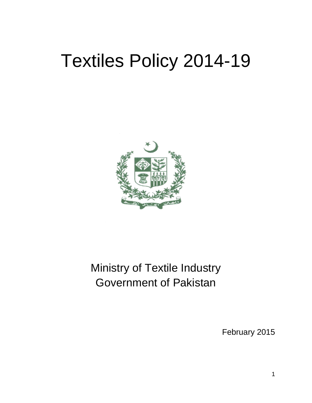# Textiles Policy 2014-19



# Ministry of Textile Industry Government of Pakistan

February 2015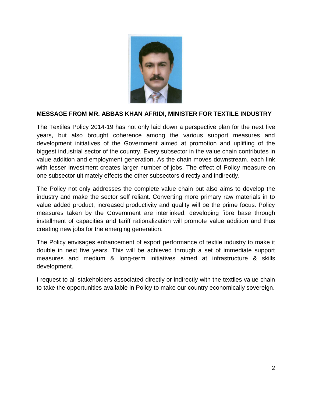

#### **MESSAGE FROM MR. ABBAS KHAN AFRIDI, MINISTER FOR TEXTILE INDUSTRY**

The Textiles Policy 2014-19 has not only laid down a perspective plan for the next five years, but also brought coherence among the various support measures and development initiatives of the Government aimed at promotion and uplifting of the biggest industrial sector of the country. Every subsector in the value chain contributes in value addition and employment generation. As the chain moves downstream, each link with lesser investment creates larger number of jobs. The effect of Policy measure on one subsector ultimately effects the other subsectors directly and indirectly.

The Policy not only addresses the complete value chain but also aims to develop the industry and make the sector self reliant. Converting more primary raw materials in to value added product, increased productivity and quality will be the prime focus. Policy measures taken by the Government are interlinked, developing fibre base through installment of capacities and tariff rationalization will promote value addition and thus creating new jobs for the emerging generation.

The Policy envisages enhancement of export performance of textile industry to make it double in next five years. This will be achieved through a set of immediate support measures and medium & long-term initiatives aimed at infrastructure & skills development.

I request to all stakeholders associated directly or indirectly with the textiles value chain to take the opportunities available in Policy to make our country economically sovereign.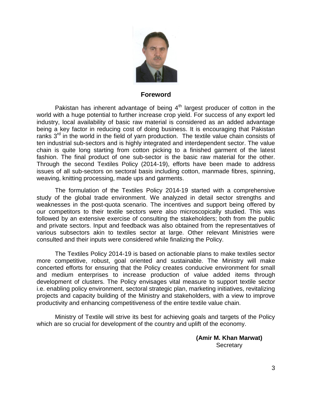

#### **Foreword**

Pakistan has inherent advantage of being  $4<sup>th</sup>$  largest producer of cotton in the world with a huge potential to further increase crop yield. For success of any export led industry, local availability of basic raw material is considered as an added advantage being a key factor in reducing cost of doing business. It is encouraging that Pakistan ranks  $3<sup>rd</sup>$  in the world in the field of yarn production. The textile value chain consists of ten industrial sub-sectors and is highly integrated and interdependent sector. The value chain is quite long starting from cotton picking to a finished garment of the latest fashion. The final product of one sub-sector is the basic raw material for the other. Through the second Textiles Policy (2014-19), efforts have been made to address issues of all sub-sectors on sectoral basis including cotton, manmade fibres, spinning, weaving, knitting processing, made ups and garments.

The formulation of the Textiles Policy 2014-19 started with a comprehensive study of the global trade environment. We analyzed in detail sector strengths and weaknesses in the post-quota scenario. The incentives and support being offered by our competitors to their textile sectors were also microscopically studied. This was followed by an extensive exercise of consulting the stakeholders; both from the public and private sectors. Input and feedback was also obtained from the representatives of various subsectors akin to textiles sector at large. Other relevant Ministries were consulted and their inputs were considered while finalizing the Policy.

The Textiles Policy 2014-19 is based on actionable plans to make textiles sector more competitive, robust, goal oriented and sustainable. The Ministry will make concerted efforts for ensuring that the Policy creates conducive environment for small and medium enterprises to increase production of value added items through development of clusters. The Policy envisages vital measure to support textile sector i.e. enabling policy environment, sectoral strategic plan, marketing initiatives, revitalizing projects and capacity building of the Ministry and stakeholders, with a view to improve productivity and enhancing competitiveness of the entire textile value chain.

Ministry of Textile will strive its best for achieving goals and targets of the Policy which are so crucial for development of the country and uplift of the economy.

> **(Amir M. Khan Marwat) Secretary**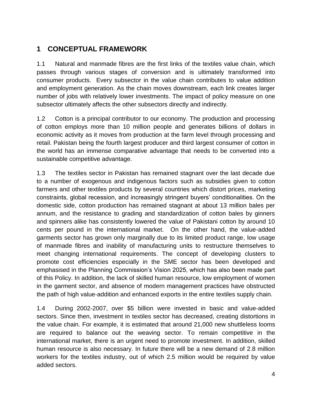# **1 CONCEPTUAL FRAMEWORK**

1.1 Natural and manmade fibres are the first links of the textiles value chain, which passes through various stages of conversion and is ultimately transformed into consumer products. Every subsector in the value chain contributes to value addition and employment generation. As the chain moves downstream, each link creates larger number of jobs with relatively lower investments. The impact of policy measure on one subsector ultimately affects the other subsectors directly and indirectly.

1.2 Cotton is a principal contributor to our economy. The production and processing of cotton employs more than 10 million people and generates billions of dollars in economic activity as it moves from production at the farm level through processing and retail. Pakistan being the fourth largest producer and third largest consumer of cotton in the world has an immense comparative advantage that needs to be converted into a sustainable competitive advantage.

1.3 The textiles sector in Pakistan has remained stagnant over the last decade due to a number of exogenous and indigenous factors such as subsidies given to cotton farmers and other textiles products by several countries which distort prices, marketing constraints, global recession, and increasingly stringent buyers" conditionalities. On the domestic side, cotton production has remained stagnant at about 13 million bales per annum, and the resistance to grading and standardization of cotton bales by ginners and spinners alike has consistently lowered the value of Pakistani cotton by around 10 cents per pound in the international market. On the other hand, the value-added garments sector has grown only marginally due to its limited product range, low usage of manmade fibres and inability of manufacturing units to restructure themselves to meet changing international requirements. The concept of developing clusters to promote cost efficiencies especially in the SME sector has been developed and emphasised in the Planning Commission"s Vision 2025, which has also been made part of this Policy. In addition, the lack of skilled human resource, low employment of women in the garment sector, and absence of modern management practices have obstructed the path of high value-addition and enhanced exports in the entire textiles supply chain.

1.4 During 2002-2007, over \$5 billion were invested in basic and value-added sectors. Since then, investment in textiles sector has decreased, creating distortions in the value chain. For example, it is estimated that around 21,000 new shuttleless looms are required to balance out the weaving sector. To remain competitive in the international market, there is an urgent need to promote investment. In addition, skilled human resource is also necessary. In future there will be a new demand of 2.8 million workers for the textiles industry, out of which 2.5 million would be required by value added sectors.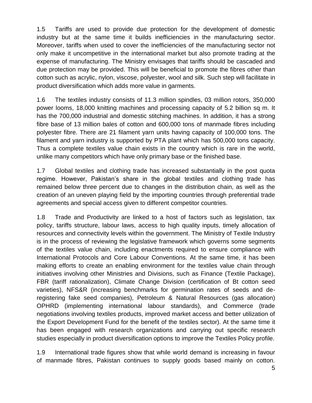1.5 Tariffs are used to provide due protection for the development of domestic industry but at the same time it builds inefficiencies in the manufacturing sector. Moreover, tariffs when used to cover the inefficiencies of the manufacturing sector not only make it uncompetitive in the international market but also promote trading at the expense of manufacturing. The Ministry envisages that tariffs should be cascaded and due protection may be provided. This will be beneficial to promote the fibres other than cotton such as acrylic, nylon, viscose, polyester, wool and silk. Such step will facilitate in product diversification which adds more value in garments.

1.6 The textiles industry consists of 11.3 million spindles, 03 million rotors, 350,000 power looms, 18,000 knitting machines and processing capacity of 5.2 billion sq m. It has the 700,000 industrial and domestic stitching machines. In addition, it has a strong fibre base of 13 million bales of cotton and 600,000 tons of manmade fibres including polyester fibre. There are 21 filament yarn units having capacity of 100,000 tons. The filament and yarn industry is supported by PTA plant which has 500,000 tons capacity. Thus a complete textiles value chain exists in the country which is rare in the world, unlike many competitors which have only primary base or the finished base.

1.7 Global textiles and clothing trade has increased substantially in the post quota regime. However, Pakistan's share in the global textiles and clothing trade has remained below three percent due to changes in the distribution chain, as well as the creation of an uneven playing field by the importing countries through preferential trade agreements and special access given to different competitor countries.

1.8 Trade and Productivity are linked to a host of factors such as legislation, tax policy, tariffs structure, labour laws, access to high quality inputs, timely allocation of resources and connectivity levels within the government. The Ministry of Textile Industry is in the process of reviewing the legislative framework which governs some segments of the textiles value chain, including enactments required to ensure compliance with International Protocols and Core Labour Conventions. At the same time, it has been making efforts to create an enabling environment for the textiles value chain through initiatives involving other Ministries and Divisions, such as Finance (Textile Package), FBR (tariff rationalization), Climate Change Division (certification of Bt cotton seed varieties), NFS&R (increasing benchmarks for germination rates of seeds and deregistering fake seed companies), Petroleum & Natural Resources (gas allocation) OPHRD (implementing international labour standards), and Commerce (trade negotiations involving textiles products, improved market access and better utilization of the Export Development Fund for the benefit of the textiles sector). At the same time it has been engaged with research organizations and carrying out specific research studies especially in product diversification options to improve the Textiles Policy profile.

1.9 International trade figures show that while world demand is increasing in favour of manmade fibres, Pakistan continues to supply goods based mainly on cotton.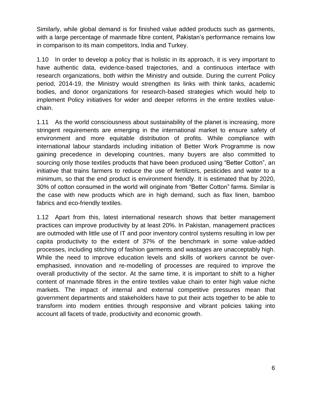Similarly, while global demand is for finished value added products such as garments, with a large percentage of manmade fibre content, Pakistan's performance remains low in comparison to its main competitors, India and Turkey.

1.10 In order to develop a policy that is holistic in its approach, it is very important to have authentic data, evidence-based trajectories, and a continuous interface with research organizations, both within the Ministry and outside. During the current Policy period, 2014-19, the Ministry would strengthen its links with think tanks, academic bodies, and donor organizations for research-based strategies which would help to implement Policy initiatives for wider and deeper reforms in the entire textiles valuechain.

1.11 As the world consciousness about sustainability of the planet is increasing, more stringent requirements are emerging in the international market to ensure safety of environment and more equitable distribution of profits. While compliance with international labour standards including initiation of Better Work Programme is now gaining precedence in developing countries, many buyers are also committed to sourcing only those textiles products that have been produced using "Better Cotton", an initiative that trains farmers to reduce the use of fertilizers, pesticides and water to a minimum, so that the end product is environment friendly. It is estimated that by 2020, 30% of cotton consumed in the world will originate from "Better Cotton" farms. Similar is the case with new products which are in high demand, such as flax linen, bamboo fabrics and eco-friendly textiles.

1.12 Apart from this, latest international research shows that better management practices can improve productivity by at least 20%. In Pakistan, management practices are outmoded with little use of IT and poor inventory control systems resulting in low per capita productivity to the extent of 37% of the benchmark in some value-added processes, including stitching of fashion garments and wastages are unacceptably high. While the need to improve education levels and skills of workers cannot be overemphasised, innovation and re-modelling of processes are required to improve the overall productivity of the sector. At the same time, it is important to shift to a higher content of manmade fibres in the entire textiles value chain to enter high value niche markets. The impact of internal and external competitive pressures mean that government departments and stakeholders have to put their acts together to be able to transform into modern entities through responsive and vibrant policies taking into account all facets of trade, productivity and economic growth.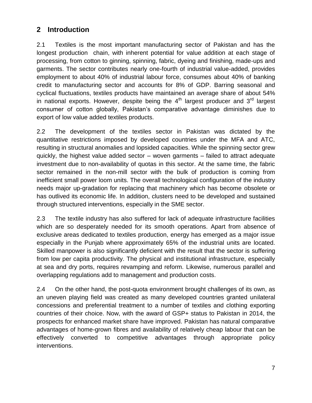# **2 Introduction**

2.1 Textiles is the most important manufacturing sector of Pakistan and has the longest production chain, with inherent potential for value addition at each stage of processing, from cotton to ginning, spinning, fabric, dyeing and finishing, made-ups and garments. The sector contributes nearly one-fourth of industrial value-added, provides employment to about 40% of industrial labour force, consumes about 40% of banking credit to manufacturing sector and accounts for 8% of GDP. Barring seasonal and cyclical fluctuations, textiles products have maintained an average share of about 54% in national exports. However, despite being the  $4<sup>th</sup>$  largest producer and  $3<sup>rd</sup>$  largest consumer of cotton globally, Pakistan"s comparative advantage diminishes due to export of low value added textiles products.

2.2 The development of the textiles sector in Pakistan was dictated by the quantitative restrictions imposed by developed countries under the MFA and ATC, resulting in structural anomalies and lopsided capacities. While the spinning sector grew quickly, the highest value added sector – woven garments – failed to attract adequate investment due to non-availability of quotas in this sector. At the same time, the fabric sector remained in the non-mill sector with the bulk of production is coming from inefficient small power loom units. The overall technological configuration of the industry needs major up-gradation for replacing that machinery which has become obsolete or has outlived its economic life. In addition, clusters need to be developed and sustained through structured interventions, especially in the SME sector.

2.3 The textile industry has also suffered for lack of adequate infrastructure facilities which are so desperately needed for its smooth operations. Apart from absence of exclusive areas dedicated to textiles production, energy has emerged as a major issue especially in the Punjab where approximately 65% of the industrial units are located. Skilled manpower is also significantly deficient with the result that the sector is suffering from low per capita productivity. The physical and institutional infrastructure, especially at sea and dry ports, requires revamping and reform. Likewise, numerous parallel and overlapping regulations add to management and production costs.

2.4 On the other hand, the post-quota environment brought challenges of its own, as an uneven playing field was created as many developed countries granted unilateral concessions and preferential treatment to a number of textiles and clothing exporting countries of their choice. Now, with the award of GSP+ status to Pakistan in 2014, the prospects for enhanced market share have improved. Pakistan has natural comparative advantages of home-grown fibres and availability of relatively cheap labour that can be effectively converted to competitive advantages through appropriate policy interventions.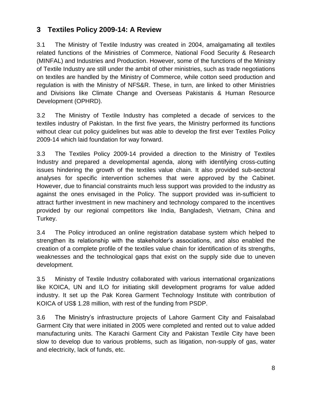# **3 Textiles Policy 2009-14: A Review**

3.1 The Ministry of Textile Industry was created in 2004, amalgamating all textiles related functions of the Ministries of Commerce, National Food Security & Research (MINFAL) and Industries and Production. However, some of the functions of the Ministry of Textile Industry are still under the ambit of other ministries, such as trade negotiations on textiles are handled by the Ministry of Commerce, while cotton seed production and regulation is with the Ministry of NFS&R. These, in turn, are linked to other Ministries and Divisions like Climate Change and Overseas Pakistanis & Human Resource Development (OPHRD).

3.2 The Ministry of Textile Industry has completed a decade of services to the textiles industry of Pakistan. In the first five years, the Ministry performed its functions without clear cut policy guidelines but was able to develop the first ever Textiles Policy 2009-14 which laid foundation for way forward.

3.3 The Textiles Policy 2009-14 provided a direction to the Ministry of Textiles Industry and prepared a developmental agenda, along with identifying cross-cutting issues hindering the growth of the textiles value chain. It also provided sub-sectoral analyses for specific intervention schemes that were approved by the Cabinet. However, due to financial constraints much less support was provided to the industry as against the ones envisaged in the Policy. The support provided was in-sufficient to attract further investment in new machinery and technology compared to the incentives provided by our regional competitors like India, Bangladesh, Vietnam, China and Turkey.

3.4 The Policy introduced an online registration database system which helped to strengthen its relationship with the stakeholder"s associations, and also enabled the creation of a complete profile of the textiles value chain for identification of its strengths, weaknesses and the technological gaps that exist on the supply side due to uneven development.

3.5 Ministry of Textile Industry collaborated with various international organizations like KOICA, UN and ILO for initiating skill development programs for value added industry. It set up the Pak Korea Garment Technology Institute with contribution of KOICA of US\$ 1.28 million, with rest of the funding from PSDP.

3.6 The Ministry"s infrastructure projects of Lahore Garment City and Faisalabad Garment City that were initiated in 2005 were completed and rented out to value added manufacturing units. The Karachi Garment City and Pakistan Textile City have been slow to develop due to various problems, such as litigation, non-supply of gas, water and electricity, lack of funds, etc.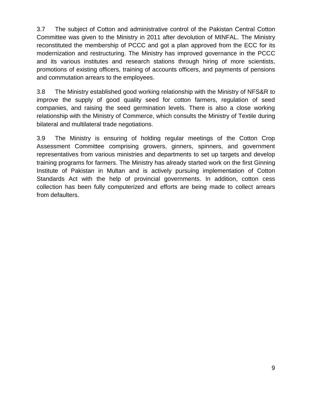3.7 The subject of Cotton and administrative control of the Pakistan Central Cotton Committee was given to the Ministry in 2011 after devolution of MINFAL. The Ministry reconstituted the membership of PCCC and got a plan approved from the ECC for its modernization and restructuring. The Ministry has improved governance in the PCCC and its various institutes and research stations through hiring of more scientists, promotions of existing officers, training of accounts officers, and payments of pensions and commutation arrears to the employees.

3.8 The Ministry established good working relationship with the Ministry of NFS&R to improve the supply of good quality seed for cotton farmers, regulation of seed companies, and raising the seed germination levels. There is also a close working relationship with the Ministry of Commerce, which consults the Ministry of Textile during bilateral and multilateral trade negotiations.

3.9 The Ministry is ensuring of holding regular meetings of the Cotton Crop Assessment Committee comprising growers, ginners, spinners, and government representatives from various ministries and departments to set up targets and develop training programs for farmers. The Ministry has already started work on the first Ginning Institute of Pakistan in Multan and is actively pursuing implementation of Cotton Standards Act with the help of provincial governments. In addition, cotton cess collection has been fully computerized and efforts are being made to collect arrears from defaulters.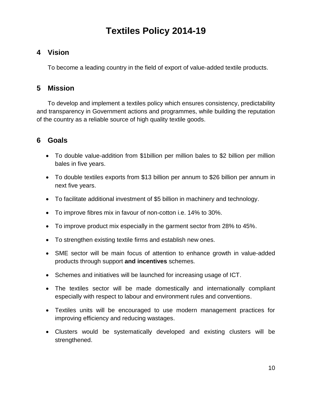# **Textiles Policy 2014-19**

# **4 Vision**

To become a leading country in the field of export of value-added textile products.

# **5 Mission**

To develop and implement a textiles policy which ensures consistency, predictability and transparency in Government actions and programmes, while building the reputation of the country as a reliable source of high quality textile goods.

# **6 Goals**

- To double value-addition from \$1billion per million bales to \$2 billion per million bales in five years.
- To double textiles exports from \$13 billion per annum to \$26 billion per annum in next five years.
- To facilitate additional investment of \$5 billion in machinery and technology.
- To improve fibres mix in favour of non-cotton i.e. 14% to 30%.
- To improve product mix especially in the garment sector from 28% to 45%.
- To strengthen existing textile firms and establish new ones.
- SME sector will be main focus of attention to enhance growth in value-added products through support **and incentives** schemes.
- Schemes and initiatives will be launched for increasing usage of ICT.
- The textiles sector will be made domestically and internationally compliant especially with respect to labour and environment rules and conventions.
- Textiles units will be encouraged to use modern management practices for improving efficiency and reducing wastages.
- Clusters would be systematically developed and existing clusters will be strengthened.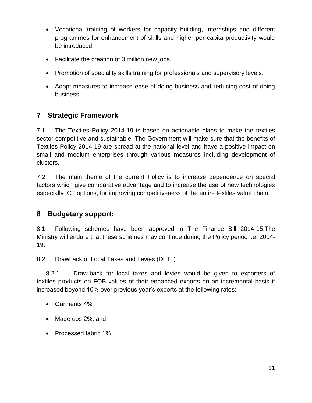- Vocational training of workers for capacity building, internships and different programmes for enhancement of skills and higher per capita productivity would be introduced.
- Facilitate the creation of 3 million new jobs.
- Promotion of speciality skills training for professionals and supervisory levels.
- Adopt measures to increase ease of doing business and reducing cost of doing business.

# **7 Strategic Framework**

7.1 The Textiles Policy 2014-19 is based on actionable plans to make the textiles sector competitive and sustainable. The Government will make sure that the benefits of Textiles Policy 2014-19 are spread at the national level and have a positive impact on small and medium enterprises through various measures including development of clusters.

7.2 The main theme of the current Policy is to increase dependence on special factors which give comparative advantage and to increase the use of new technologies especially ICT options, for improving competitiveness of the entire textiles value chain.

# **8 Budgetary support:**

8.1 Following schemes have been approved in The Finance Bill 2014-15.The Ministry will endure that these schemes may continue during the Policy period i.e. 2014- 19:

8.2 Drawback of Local Taxes and Levies (DLTL)

8.2.1 Draw-back for local taxes and levies would be given to exporters of textiles products on FOB values of their enhanced exports on an incremental basis if increased beyond 10% over previous year"s exports at the following rates:

- Garments 4%
- Made ups 2%; and
- Processed fabric 1%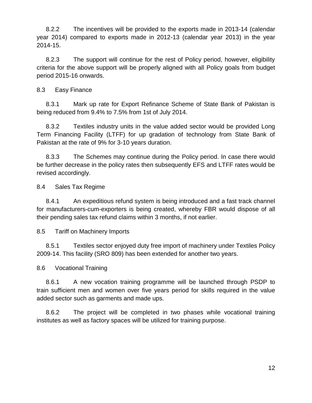8.2.2 The incentives will be provided to the exports made in 2013-14 (calendar year 2014) compared to exports made in 2012-13 (calendar year 2013) in the year 2014-15.

8.2.3 The support will continue for the rest of Policy period, however, eligibility criteria for the above support will be properly aligned with all Policy goals from budget period 2015-16 onwards.

8.3 Easy Finance

8.3.1 Mark up rate for Export Refinance Scheme of State Bank of Pakistan is being reduced from 9.4% to 7.5% from 1st of July 2014.

8.3.2 Textiles industry units in the value added sector would be provided Long Term Financing Facility (LTFF) for up gradation of technology from State Bank of Pakistan at the rate of 9% for 3-10 years duration.

8.3.3 The Schemes may continue during the Policy period. In case there would be further decrease in the policy rates then subsequently EFS and LTFF rates would be revised accordingly.

8.4 Sales Tax Regime

8.4.1 An expeditious refund system is being introduced and a fast track channel for manufacturers-cum-exporters is being created, whereby FBR would dispose of all their pending sales tax refund claims within 3 months, if not earlier.

8.5 Tariff on Machinery Imports

8.5.1 Textiles sector enjoyed duty free import of machinery under Textiles Policy 2009-14. This facility (SRO 809) has been extended for another two years.

8.6 Vocational Training

8.6.1 A new vocation training programme will be launched through PSDP to train sufficient men and women over five years period for skills required in the value added sector such as garments and made ups.

8.6.2 The project will be completed in two phases while vocational training institutes as well as factory spaces will be utilized for training purpose.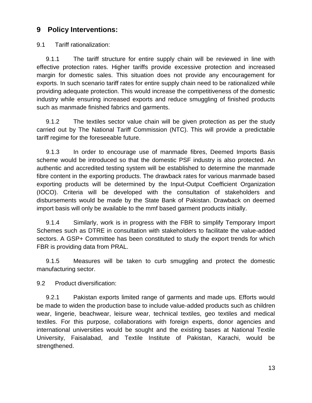### **9 Policy Interventions:**

9.1 Tariff rationalization:

9.1.1 The tariff structure for entire supply chain will be reviewed in line with effective protection rates. Higher tariffs provide excessive protection and increased margin for domestic sales. This situation does not provide any encouragement for exports. In such scenario tariff rates for entire supply chain need to be rationalized while providing adequate protection. This would increase the competitiveness of the domestic industry while ensuring increased exports and reduce smuggling of finished products such as manmade finished fabrics and garments.

9.1.2 The textiles sector value chain will be given protection as per the study carried out by The National Tariff Commission (NTC). This will provide a predictable tariff regime for the foreseeable future.

9.1.3 In order to encourage use of manmade fibres, Deemed Imports Basis scheme would be introduced so that the domestic PSF industry is also protected. An authentic and accredited testing system will be established to determine the manmade fibre content in the exporting products. The drawback rates for various manmade based exporting products will be determined by the Input-Output Coefficient Organization (IOCO). Criteria will be developed with the consultation of stakeholders and disbursements would be made by the State Bank of Pakistan. Drawback on deemed import basis will only be available to the mmf based garment products initially.

9.1.4 Similarly, work is in progress with the FBR to simplify Temporary Import Schemes such as DTRE in consultation with stakeholders to facilitate the value-added sectors. A GSP+ Committee has been constituted to study the export trends for which FBR is providing data from PRAL.

9.1.5 Measures will be taken to curb smuggling and protect the domestic manufacturing sector.

9.2 Product diversification:

9.2.1 Pakistan exports limited range of garments and made ups. Efforts would be made to widen the production base to include value-added products such as children wear, lingerie, beachwear, leisure wear, technical textiles, geo textiles and medical textiles. For this purpose, collaborations with foreign experts, donor agencies and international universities would be sought and the existing bases at National Textile University, Faisalabad, and Textile Institute of Pakistan, Karachi, would be strengthened.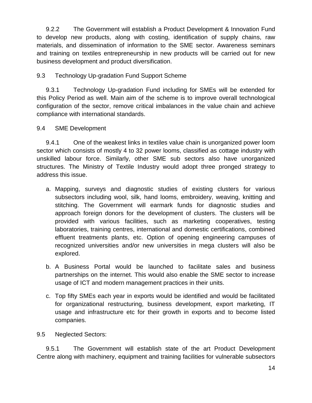9.2.2 The Government will establish a Product Development & Innovation Fund to develop new products, along with costing, identification of supply chains, raw materials, and dissemination of information to the SME sector. Awareness seminars and training on textiles entrepreneurship in new products will be carried out for new business development and product diversification.

#### 9.3 Technology Up-gradation Fund Support Scheme

9.3.1 Technology Up-gradation Fund including for SMEs will be extended for this Policy Period as well. Main aim of the scheme is to improve overall technological configuration of the sector, remove critical imbalances in the value chain and achieve compliance with international standards.

#### 9.4 SME Development

9.4.1 One of the weakest links in textiles value chain is unorganized power loom sector which consists of mostly 4 to 32 power looms, classified as cottage industry with unskilled labour force. Similarly, other SME sub sectors also have unorganized structures. The Ministry of Textile Industry would adopt three pronged strategy to address this issue.

- a. Mapping, surveys and diagnostic studies of existing clusters for various subsectors including wool, silk, hand looms, embroidery, weaving, knitting and stitching. The Government will earmark funds for diagnostic studies and approach foreign donors for the development of clusters. The clusters will be provided with various facilities, such as marketing cooperatives, testing laboratories, training centres, international and domestic certifications, combined effluent treatments plants, etc. Option of opening engineering campuses of recognized universities and/or new universities in mega clusters will also be explored.
- b. A Business Portal would be launched to facilitate sales and business partnerships on the internet. This would also enable the SME sector to increase usage of ICT and modern management practices in their units.
- c. Top fifty SMEs each year in exports would be identified and would be facilitated for organizational restructuring, business development, export marketing, IT usage and infrastructure etc for their growth in exports and to become listed companies.
- 9.5 Neglected Sectors:

9.5.1 The Government will establish state of the art Product Development Centre along with machinery, equipment and training facilities for vulnerable subsectors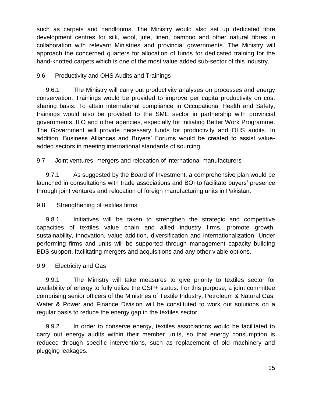such as carpets and handlooms. The Ministry would also set up dedicated fibre development centres for silk, wool, jute, linen, bamboo and other natural fibres in collaboration with relevant Ministries and provincial governments. The Ministry will approach the concerned quarters for allocation of funds for dedicated training for the hand-knotted carpets which is one of the most value added sub-sector of this industry.

#### 9.6 Productivity and OHS Audits and Trainings

9.6.1 The Ministry will carry out productivity analyses on processes and energy conservation. Trainings would be provided to improve per capita productivity on cost sharing basis. To attain international compliance in Occupational Health and Safety, trainings would also be provided to the SME sector in partnership with provincial governments, ILO and other agencies, especially for initiating Better Work Programme. The Government will provide necessary funds for productivity and OHS audits. In addition, Business Alliances and Buyers" Forums would be created to assist valueadded sectors in meeting international standards of sourcing.

9.7 Joint ventures, mergers and relocation of international manufacturers

9.7.1 As suggested by the Board of Investment, a comprehensive plan would be launched in consultations with trade associations and BOI to facilitate buyers' presence through joint ventures and relocation of foreign manufacturing units in Pakistan.

#### 9.8 Strengthening of textiles firms

9.8.1 Initiatives will be taken to strengthen the strategic and competitive capacities of textiles value chain and allied industry firms, promote growth, sustainability, innovation, value addition, diversification and internationalization. Under performing firms and units will be supported through management capacity building BDS support, facilitating mergers and acquisitions and any other viable options.

#### 9.9 Electricity and Gas

9.9.1 The Ministry will take measures to give priority to textiles sector for availability of energy to fully utilize the GSP+ status. For this purpose, a joint committee comprising senior officers of the Ministries of Textile Industry, Petroleum & Natural Gas, Water & Power and Finance Division will be constituted to work out solutions on a regular basis to reduce the energy gap in the textiles sector.

9.9.2 In order to conserve energy, textiles associations would be facilitated to carry out energy audits within their member units, so that energy consumption is reduced through specific interventions, such as replacement of old machinery and plugging leakages.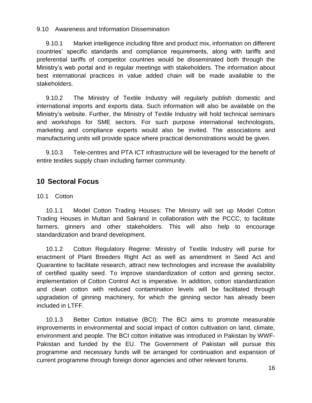9.10 Awareness and Information Dissemination

9.10.1 Market intelligence including fibre and product mix, information on different countries" specific standards and compliance requirements, along with tariffs and preferential tariffs of competitor countries would be disseminated both through the Ministry"s web portal and in regular meetings with stakeholders. The information about best international practices in value added chain will be made available to the stakeholders.

9.10.2 The Ministry of Textile Industry will regularly publish domestic and international imports and exports data. Such information will also be available on the Ministry"s website. Further, the Ministry of Textile Industry will hold technical seminars and workshops for SME sectors. For such purpose international technologists, marketing and compliance experts would also be invited. The associations and manufacturing units will provide space where practical demonstrations would be given.

9.10.3 Tele-centres and PTA ICT infrastructure will be leveraged for the benefit of entire textiles supply chain including farmer community.

# **10 Sectoral Focus**

10.1 Cotton

10.1.1 Model Cotton Trading Houses: The Ministry will set up Model Cotton Trading Houses in Multan and Sakrand in collaboration with the PCCC, to facilitate farmers, ginners and other stakeholders. This will also help to encourage standardization and brand development.

10.1.2 Cotton Regulatory Regime: Ministry of Textile Industry will purse for enactment of Plant Breeders Right Act as well as amendment in Seed Act and Quarantine to facilitate research, attract new technologies and increase the availability of certified quality seed. To improve standardization of cotton and ginning sector, implementation of Cotton Control Act is imperative. In addition, cotton standardization and clean cotton with reduced contamination levels will be facilitated through upgradation of ginning machinery, for which the ginning sector has already been included in LTFF.

10.1.3 Better Cotton Initiative (BCI): The BCI aims to promote measurable improvements in environmental and social impact of cotton cultivation on land, climate, environment and people. The BCI cotton initiative was introduced in Pakistan by WWF-Pakistan and funded by the EU. The Government of Pakistan will pursue this programme and necessary funds will be arranged for continuation and expansion of current programme through foreign donor agencies and other relevant forums.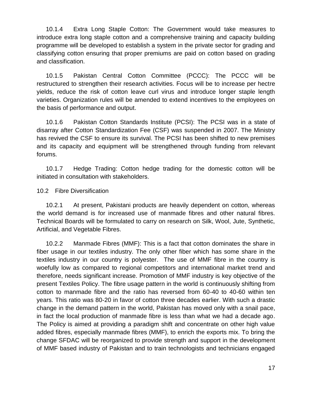10.1.4 Extra Long Staple Cotton: The Government would take measures to introduce extra long staple cotton and a comprehensive training and capacity building programme will be developed to establish a system in the private sector for grading and classifying cotton ensuring that proper premiums are paid on cotton based on grading and classification.

10.1.5 Pakistan Central Cotton Committee (PCCC): The PCCC will be restructured to strengthen their research activities. Focus will be to increase per hectre yields, reduce the risk of cotton leave curl virus and introduce longer staple length varieties. Organization rules will be amended to extend incentives to the employees on the basis of performance and output.

10.1.6 Pakistan Cotton Standards Institute (PCSI): The PCSI was in a state of disarray after Cotton Standardization Fee (CSF) was suspended in 2007. The Ministry has revived the CSF to ensure its survival. The PCSI has been shifted to new premises and its capacity and equipment will be strengthened through funding from relevant forums.

10.1.7 Hedge Trading: Cotton hedge trading for the domestic cotton will be initiated in consultation with stakeholders.

10.2 Fibre Diversification

10.2.1 At present, Pakistani products are heavily dependent on cotton, whereas the world demand is for increased use of manmade fibres and other natural fibres. Technical Boards will be formulated to carry on research on Silk, Wool, Jute, Synthetic, Artificial, and Vegetable Fibres.

10.2.2 Manmade Fibres (MMF): This is a fact that cotton dominates the share in fiber usage in our textiles industry. The only other fiber which has some share in the textiles industry in our country is polyester. The use of MMF fibre in the country is woefully low as compared to regional competitors and international market trend and therefore, needs significant increase. Promotion of MMF industry is key objective of the present Textiles Policy. The fibre usage pattern in the world is continuously shifting from cotton to manmade fibre and the ratio has reversed from 60-40 to 40-60 within ten years. This ratio was 80-20 in favor of cotton three decades earlier. With such a drastic change in the demand pattern in the world, Pakistan has moved only with a snail pace, in fact the local production of manmade fibre is less than what we had a decade ago. The Policy is aimed at providing a paradigm shift and concentrate on other high value added fibres, especially manmade fibres (MMF), to enrich the exports mix. To bring the change SFDAC will be reorganized to provide strength and support in the development of MMF based industry of Pakistan and to train technologists and technicians engaged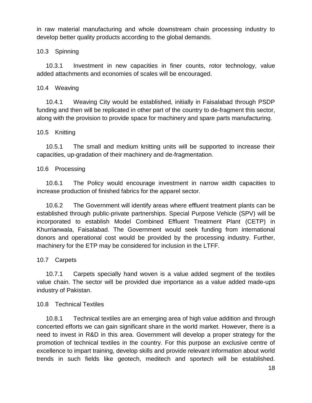in raw material manufacturing and whole downstream chain processing industry to develop better quality products according to the global demands.

#### 10.3 Spinning

10.3.1 Investment in new capacities in finer counts, rotor technology, value added attachments and economies of scales will be encouraged.

#### 10.4 Weaving

10.4.1 Weaving City would be established, initially in Faisalabad through PSDP funding and then will be replicated in other part of the country to de-fragment this sector, along with the provision to provide space for machinery and spare parts manufacturing.

#### 10.5 Knitting

10.5.1 The small and medium knitting units will be supported to increase their capacities, up-gradation of their machinery and de-fragmentation.

#### 10.6 Processing

10.6.1 The Policy would encourage investment in narrow width capacities to increase production of finished fabrics for the apparel sector.

10.6.2 The Government will identify areas where effluent treatment plants can be established through public-private partnerships. Special Purpose Vehicle (SPV) will be incorporated to establish Model Combined Effluent Treatment Plant (CETP) in Khurrianwala, Faisalabad. The Government would seek funding from international donors and operational cost would be provided by the processing industry. Further, machinery for the ETP may be considered for inclusion in the LTFF.

#### 10.7 Carpets

10.7.1 Carpets specially hand woven is a value added segment of the textiles value chain. The sector will be provided due importance as a value added made-ups industry of Pakistan.

#### 10.8 Technical Textiles

10.8.1 Technical textiles are an emerging area of high value addition and through concerted efforts we can gain significant share in the world market. However, there is a need to invest in R&D in this area. Government will develop a proper strategy for the promotion of technical textiles in the country. For this purpose an exclusive centre of excellence to impart training, develop skills and provide relevant information about world trends in such fields like geotech, meditech and sportech will be established.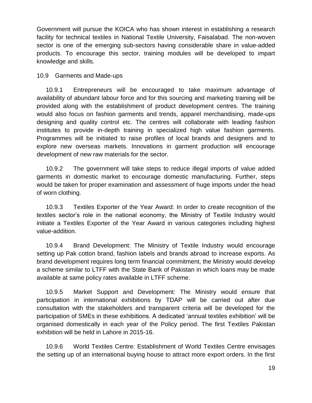Government will pursue the KOICA who has shown interest in establishing a research facility for technical textiles in National Textile University, Faisalabad. The non-woven sector is one of the emerging sub-sectors having considerable share in value-added products. To encourage this sector, training modules will be developed to impart knowledge and skills.

10.9 Garments and Made-ups

10.9.1 Entrepreneurs will be encouraged to take maximum advantage of availability of abundant labour force and for this sourcing and marketing training will be provided along with the establishment of product development centres. The training would also focus on fashion garments and trends, apparel merchandising, made-ups designing and quality control etc. The centres will collaborate with leading fashion institutes to provide in-depth training in specialized high value fashion garments. Programmes will be initiated to raise profiles of local brands and designers and to explore new overseas markets. Innovations in garment production will encourage development of new raw materials for the sector.

10.9.2 The government will take steps to reduce illegal imports of value added garments in domestic market to encourage domestic manufacturing. Further, steps would be taken for proper examination and assessment of huge imports under the head of worn clothing.

10.9.3 Textiles Exporter of the Year Award: In order to create recognition of the textiles sector"s role in the national economy, the Ministry of Textile Industry would initiate a Textiles Exporter of the Year Award in various categories including highest value-addition.

10.9.4 Brand Development: The Ministry of Textile Industry would encourage setting up Pak cotton brand, fashion labels and brands abroad to increase exports. As brand development requires long term financial commitment, the Ministry would develop a scheme similar to LTFF with the State Bank of Pakistan in which loans may be made available at same policy rates available in LTFF scheme.

10.9.5 Market Support and Development: The Ministry would ensure that participation in international exhibitions by TDAP will be carried out after due consultation with the stakeholders and transparent criteria will be developed for the participation of SMEs in these exhibitions. A dedicated "annual textiles exhibition" will be organised domestically in each year of the Policy period. The first Textiles Pakistan exhibition will be held in Lahore in 2015-16.

10.9.6 World Textiles Centre: Establishment of World Textiles Centre envisages the setting up of an international buying house to attract more export orders. In the first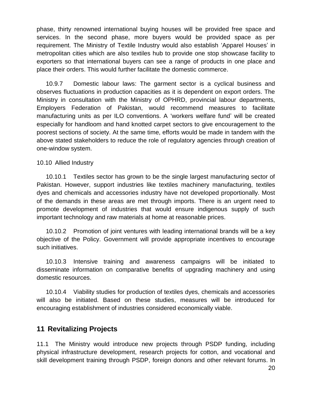phase, thirty renowned international buying houses will be provided free space and services. In the second phase, more buyers would be provided space as per requirement. The Ministry of Textile Industry would also establish "Apparel Houses" in metropolitan cities which are also textiles hub to provide one stop showcase facility to exporters so that international buyers can see a range of products in one place and place their orders. This would further facilitate the domestic commerce.

10.9.7 Domestic labour laws: The garment sector is a cyclical business and observes fluctuations in production capacities as it is dependent on export orders. The Ministry in consultation with the Ministry of OPHRD, provincial labour departments, Employers Federation of Pakistan, would recommend measures to facilitate manufacturing units as per ILO conventions. A "workers welfare fund" will be created especially for handloom and hand knotted carpet sectors to give encouragement to the poorest sections of society. At the same time, efforts would be made in tandem with the above stated stakeholders to reduce the role of regulatory agencies through creation of one-window system.

#### 10.10 Allied Industry

10.10.1 Textiles sector has grown to be the single largest manufacturing sector of Pakistan. However, support industries like textiles machinery manufacturing, textiles dyes and chemicals and accessories industry have not developed proportionally. Most of the demands in these areas are met through imports. There is an urgent need to promote development of industries that would ensure indigenous supply of such important technology and raw materials at home at reasonable prices.

10.10.2 Promotion of joint ventures with leading international brands will be a key objective of the Policy. Government will provide appropriate incentives to encourage such initiatives.

10.10.3 Intensive training and awareness campaigns will be initiated to disseminate information on comparative benefits of upgrading machinery and using domestic resources.

10.10.4 Viability studies for production of textiles dyes, chemicals and accessories will also be initiated. Based on these studies, measures will be introduced for encouraging establishment of industries considered economically viable.

### **11 Revitalizing Projects**

11.1 The Ministry would introduce new projects through PSDP funding, including physical infrastructure development, research projects for cotton, and vocational and skill development training through PSDP, foreign donors and other relevant forums. In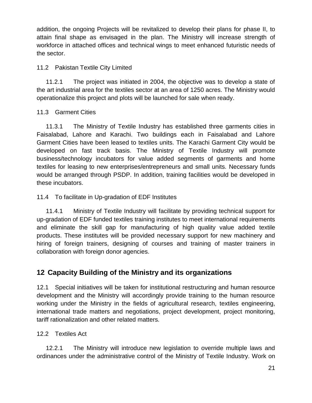addition, the ongoing Projects will be revitalized to develop their plans for phase II, to attain final shape as envisaged in the plan. The Ministry will increase strength of workforce in attached offices and technical wings to meet enhanced futuristic needs of the sector.

#### 11.2 Pakistan Textile City Limited

11.2.1 The project was initiated in 2004, the objective was to develop a state of the art industrial area for the textiles sector at an area of 1250 acres. The Ministry would operationalize this project and plots will be launched for sale when ready.

#### 11.3 Garment Cities

11.3.1 The Ministry of Textile Industry has established three garments cities in Faisalabad, Lahore and Karachi. Two buildings each in Faisalabad and Lahore Garment Cities have been leased to textiles units. The Karachi Garment City would be developed on fast track basis. The Ministry of Textile Industry will promote business/technology incubators for value added segments of garments and home textiles for leasing to new enterprises/entrepreneurs and small units. Necessary funds would be arranged through PSDP. In addition, training facilities would be developed in these incubators.

11.4 To facilitate in Up-gradation of EDF Institutes

11.4.1 Ministry of Textile Industry will facilitate by providing technical support for up-gradation of EDF funded textiles training institutes to meet international requirements and eliminate the skill gap for manufacturing of high quality value added textile products. These institutes will be provided necessary support for new machinery and hiring of foreign trainers, designing of courses and training of master trainers in collaboration with foreign donor agencies.

# **12 Capacity Building of the Ministry and its organizations**

12.1 Special initiatives will be taken for institutional restructuring and human resource development and the Ministry will accordingly provide training to the human resource working under the Ministry in the fields of agricultural research, textiles engineering, international trade matters and negotiations, project development, project monitoring, tariff rationalization and other related matters.

12.2 Textiles Act

12.2.1 The Ministry will introduce new legislation to override multiple laws and ordinances under the administrative control of the Ministry of Textile Industry. Work on